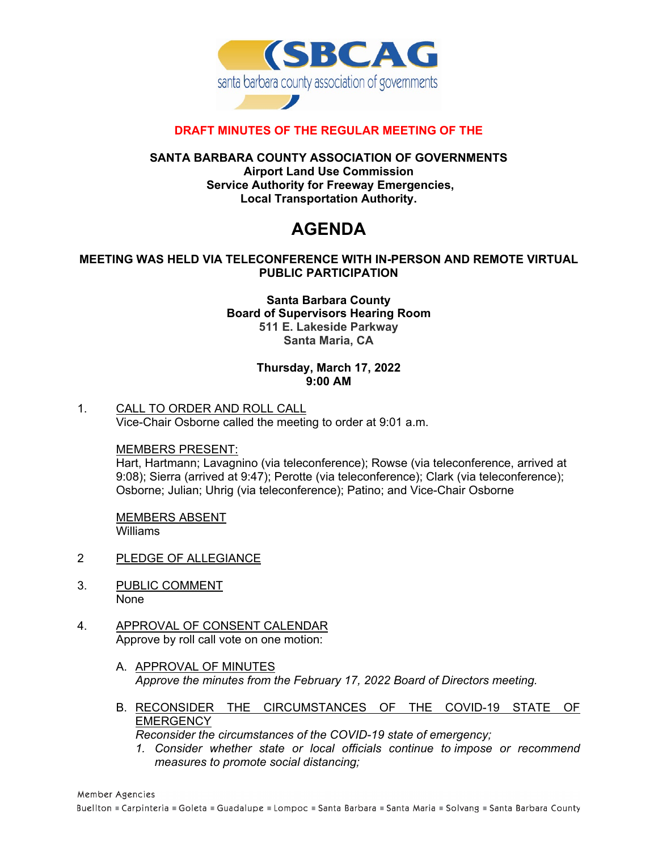

# **DRAFT MINUTES OF THE REGULAR MEETING OF THE**

## **SANTA BARBARA COUNTY ASSOCIATION OF GOVERNMENTS Airport Land Use Commission Service Authority for Freeway Emergencies, Local Transportation Authority.**

# **AGENDA**

# **MEETING WAS HELD VIA TELECONFERENCE WITH IN-PERSON AND REMOTE VIRTUAL PUBLIC PARTICIPATION**

# **Santa Barbara County Board of Supervisors Hearing Room 511 E. Lakeside Parkway Santa Maria, CA**

#### **Thursday, March 17, 2022 9:00 AM**

# 1. CALL TO ORDER AND ROLL CALL Vice-Chair Osborne called the meeting to order at 9:01 a.m.

#### MEMBERS PRESENT:

Hart, Hartmann; Lavagnino (via teleconference); Rowse (via teleconference, arrived at 9:08); Sierra (arrived at 9:47); Perotte (via teleconference); Clark (via teleconference); Osborne; Julian; Uhrig (via teleconference); Patino; and Vice-Chair Osborne

MEMBERS ABSENT Williams

- 2 PLEDGE OF ALLEGIANCE
- 3. PUBLIC COMMENT None
- 4. APPROVAL OF CONSENT CALENDAR Approve by roll call vote on one motion:
	- A. APPROVAL OF MINUTES *Approve the minutes from the February 17, 2022 Board of Directors meeting.*
	- B. RECONSIDER THE CIRCUMSTANCES OF THE COVID-19 STATE OF **EMERGENCY**

*Reconsider the circumstances of the COVID-19 state of emergency;* 

*1. Consider whether state or local officials continue to impose or recommend measures to promote social distancing;*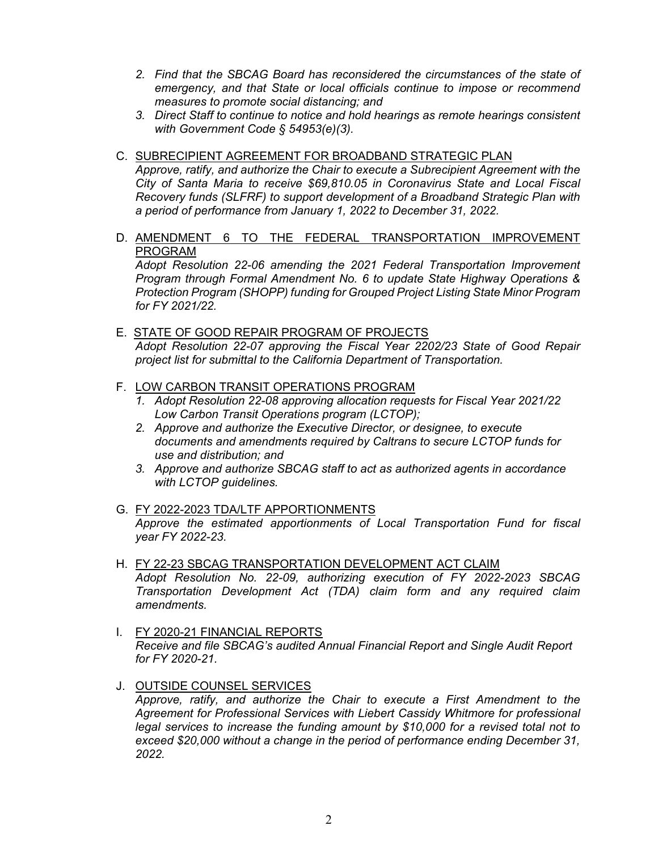- 2. Find that the SBCAG Board has reconsidered the circumstances of the state of *emergency, and that State or local officials continue to impose or recommend measures to promote social distancing; and*
- *3. Direct Staff to continue to notice and hold hearings as remote hearings consistent with Government Code § 54953(e)(3).*
- C. SUBRECIPIENT AGREEMENT FOR BROADBAND STRATEGIC PLAN *Approve, ratify, and authorize the Chair to execute a Subrecipient Agreement with the City of Santa Maria to receive \$69,810.05 in Coronavirus State and Local Fiscal Recovery funds (SLFRF) to support development of a Broadband Strategic Plan with a period of performance from January 1, 2022 to December 31, 2022.*
- D. AMENDMENT 6 TO THE FEDERAL TRANSPORTATION IMPROVEMENT PROGRAM

*Adopt Resolution 22-06 amending the 2021 Federal Transportation Improvement Program through Formal Amendment No. 6 to update State Highway Operations & Protection Program (SHOPP) funding for Grouped Project Listing State Minor Program for FY 2021/22.* 

- E. STATE OF GOOD REPAIR PROGRAM OF PROJECTS *Adopt Resolution 22-07 approving the Fiscal Year 2202/23 State of Good Repair project list for submittal to the California Department of Transportation.*
- F. LOW CARBON TRANSIT OPERATIONS PROGRAM
	- *1. Adopt Resolution 22-08 approving allocation requests for Fiscal Year 2021/22 Low Carbon Transit Operations program (LCTOP);*
	- *2. Approve and authorize the Executive Director, or designee, to execute documents and amendments required by Caltrans to secure LCTOP funds for use and distribution; and*
	- *3. Approve and authorize SBCAG staff to act as authorized agents in accordance with LCTOP guidelines.*
- G. FY 2022-2023 TDA/LTF APPORTIONMENTS *Approve the estimated apportionments of Local Transportation Fund for fiscal year FY 2022-23.*
- H. FY 22-23 SBCAG TRANSPORTATION DEVELOPMENT ACT CLAIM *Adopt Resolution No. 22-09, authorizing execution of FY 2022-2023 SBCAG Transportation Development Act (TDA) claim form and any required claim amendments.*
- I. FY 2020-21 FINANCIAL REPORTS *Receive and file SBCAG's audited Annual Financial Report and Single Audit Report for FY 2020-21.*
- J. OUTSIDE COUNSEL SERVICES *Approve, ratify, and authorize the Chair to execute a First Amendment to the Agreement for Professional Services with Liebert Cassidy Whitmore for professional legal services to increase the funding amount by \$10,000 for a revised total not to exceed \$20,000 without a change in the period of performance ending December 31, 2022.*